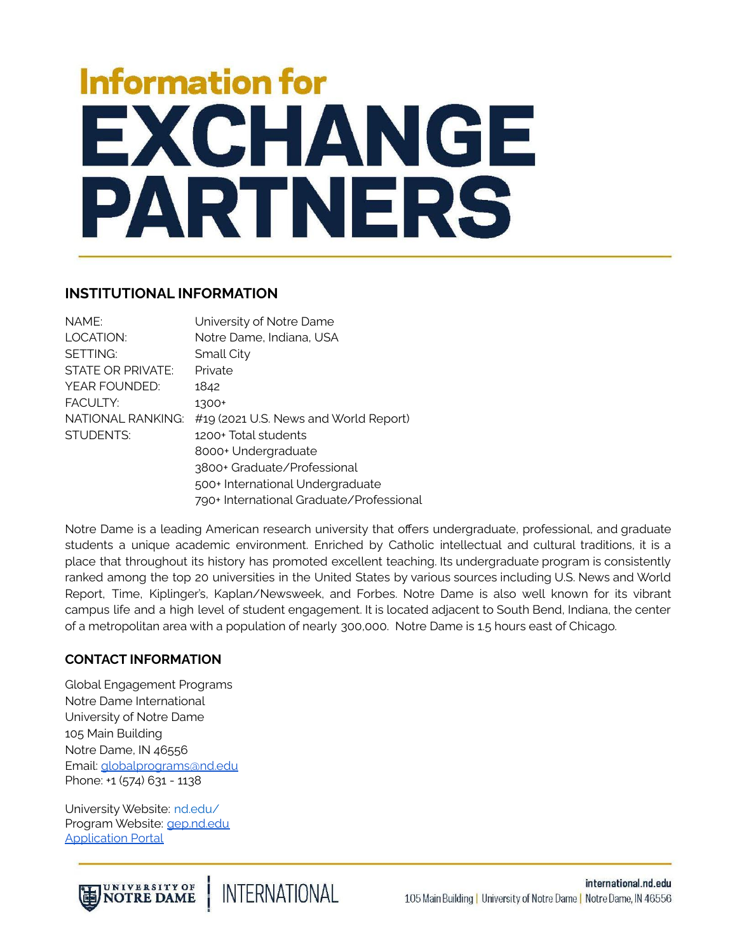# **Information for** EXCHANGE PARTNERS

## **INSTITUTIONAL INFORMATION**

| NAME:             | University of Notre Dame                 |
|-------------------|------------------------------------------|
| LOCATION:         | Notre Dame, Indiana, USA                 |
| SETTING:          | Small City                               |
| STATE OR PRIVATE: | Private                                  |
| YEAR FOUNDED:     | 1842                                     |
| <b>FACULTY:</b>   | 1300+                                    |
| NATIONAL RANKING: | #19 (2021 U.S. News and World Report)    |
| <b>STUDENTS:</b>  | 1200+ Total students                     |
|                   | 8000+ Undergraduate                      |
|                   | 3800+ Graduate/Professional              |
|                   | 500+ International Undergraduate         |
|                   | 790+ International Graduate/Professional |

Notre Dame is a leading American research university that offers undergraduate, professional, and graduate students a unique academic environment. Enriched by Catholic intellectual and cultural traditions, it is a place that throughout its history has promoted excellent teaching. Its undergraduate program is consistently ranked among the top 20 universities in the United States by various sources including U.S. News and World Report, Time, Kiplinger's, Kaplan/Newsweek, and Forbes. Notre Dame is also well known for its vibrant campus life and a high level of student engagement. It is located adjacent to South Bend, Indiana, the center of a metropolitan area with a population of nearly 300,000. Notre Dame is 1.5 hours east of Chicago.

### **CONTACT INFORMATION**

Global Engagement Programs Notre Dame International University of Notre Dame 105 Main Building Notre Dame, IN 46556 Email: [globalprograms@nd.edu](mailto:globalprograms@nd.edu) Phone: +1 (574) 631 - 1138

University Website: [nd.edu/](https://www.nd.edu/%20) Program Website: [gep.nd.edu](http://gep.nd.edu) [Application](https://ndi-sa.nd.edu/index.cfm?FuseAction=Programs.ViewProgramAngular&id=10124) Portal

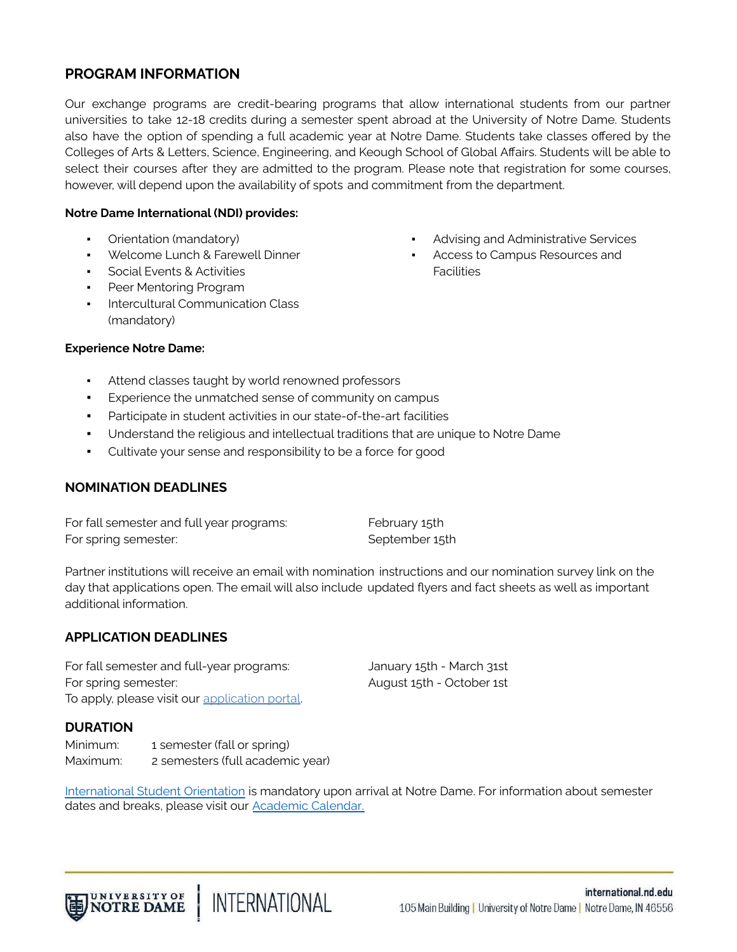# **PROGRAM INFORMATION**

Our exchange programs are credit-bearing programs that allow international students from our partner universities to take 12-18 credits during a semester spent abroad at the University of Notre Dame. Students also have the option of spending a full academic year at Notre Dame. Students take classes offered by the Colleges of Arts & Letters, Science, Engineering, and Keough School of Global Affairs. Students will be able to select their courses after they are admitted to the program. Please note that registration for some courses, however, will depend upon the availability of spots and commitment from the department.

#### **Notre Dame International (NDI) provides:**

- Orientation (mandatory)
- Welcome Lunch & Farewell Dinner
- **Social Events & Activities**
- Peer Mentoring Program
- Intercultural Communication Class (mandatory)
- Advising and Administrative Services
- Access to Campus Resources and **Facilities**

#### **Experience Notre Dame:**

- Attend classes taught by world renowned professors
- Experience the unmatched sense of community on campus
- Participate in student activities in our state-of-the-art facilities
- Understand the religious and intellectual traditions that are unique to Notre Dame
- Cultivate your sense and responsibility to be a force for good

### **NOMINATION DEADLINES**

| For fall semester and full year programs: | February 15th  |
|-------------------------------------------|----------------|
| For spring semester:                      | September 15th |

Partner institutions will receive an email with nomination instructions and our nomination survey link on the day that applications open. The email will also include updated flyers and fact sheets as well as important additional information.

## **APPLICATION DEADLINES**

For fall semester and full-year programs: January 15th - March 31st For spring semester:  $\qquad \qquad$  August 15th - October 1st To apply, please visit our [application](http://ndi-sa.nd.edu/index.cfm?FuseAction=Programs.ViewProgram&Program_ID=10124) portal.

**DURATION**

Minimum: 1 semester (fall or spring) Maximum: 2 semesters (full academic year)

[International](https://issa.nd.edu/students/arrival/international-student-orientation/) Student Orientation is mandatory upon arrival at Notre Dame. For information about semester dates and breaks, please visit our **[Academic](http://registrar.nd.edu/calendar/future.php) Calendar**.

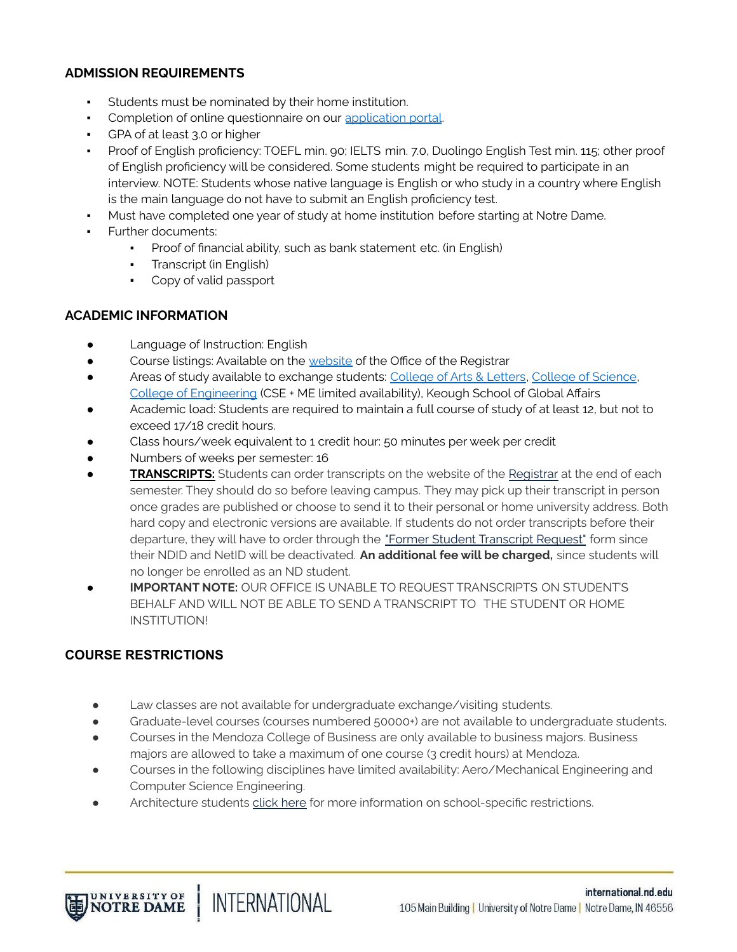## **ADMISSION REQUIREMENTS**

- Students must be nominated by their home institution.
- Completion of online questionnaire on our [application](https://ndi-sa.nd.edu/index.cfm?FuseAction=Programs.SearchResults&Program_Name=&Program_Type_ID=2&pi=%7F&pc=%7F&pr=%7F&pt=%7F&Partner_ID=ANY&p_10004=%7F&p_10004_t=MINIM&p_10015=%7F&p_10015_t=MULTI&p_10000=%7F&p_10000_t=SELCT&p_10005=%7F&p_10005_t=MULTI&p_10007=&p_10007_t=YESNO&p_10010=%7F&p_10010_t=MULTI&p_10024=%7F&p_10024_t=SELCT&Sort=Program_Name&Order=asc&btnSubmit=&pp=10004%2C10015%2C10000%2C10005%2C10007%2C10010%2C10024) portal.
- GPA of at least 3.0 or higher
- Proof of English proficiency: TOEFL min. 90; IELTS min. 7.0, Duolingo English Test min. 115; other proof of English proficiency will be considered. Some students might be required to participate in an interview. NOTE: Students whose native language is English or who study in a country where English is the main language do not have to submit an English proficiency test.
- Must have completed one year of study at home institution before starting at Notre Dame.
- Further documents:
	- Proof of financial ability, such as bank statement etc. (in English)
	- **•** Transcript (in English)
	- Copy of valid passport

## **ACADEMIC INFORMATION**

- Language of Instruction: English
- **•** Course listings: Available on the [website](http://registrar.nd.edu/students/class_search.php) of the Office of the Registrar
- Areas of study available to exchange students: [College](http://al.nd.edu/) of Arts & Letters, College of [Science](http://science.nd.edu/), College of [Engineering](https://engineering.nd.edu/) (CSE + ME limited availability), Keough School of Global Affairs
- Academic load: Students are required to maintain a full course of study of at least 12, but not to exceed 17/18 credit hours.
- Class hours/week equivalent to 1 credit hour: 50 minutes per week per credit
- Numbers of weeks per semester: 16
- **TRANSCRIPTS:** Students can order transcripts on the website of the [Registrar](http://registrar.nd.edu/students/transcripts.php) at the end of each semester. They should do so before leaving campus. They may pick up their transcript in person once grades are published or choose to send it to their personal or home university address. Both hard copy and electronic versions are available. If students do not order transcripts before their departure, they will have to order through the "Former Student [Transcript](https://reg-apps.nd.edu/transcript_request/) Request" form since their NDID and NetID will be deactivated. **An additional fee will be charged,** since students will no longer be enrolled as an ND student.
- **IMPORTANT NOTE:** OUR OFFICE IS UNABLE TO REQUEST TRANSCRIPTS ON STUDENT'S BEHALF AND WILL NOT BE ABLE TO SEND A TRANSCRIPT TO THE STUDENT OR HOME INSTITUTION!

# **COURSE RESTRICTIONS**

UNIVERSITY OF<br>NOTRE DAME

● Law classes are not available for undergraduate exchange/visiting students.

**INTERNATIONAL** 

- Graduate-level courses (courses numbered 50000+) are not available to undergraduate students.
- Courses in the Mendoza College of Business are only available to business majors. Business majors are allowed to take a maximum of one course (3 credit hours) at Mendoza.
- Courses in the following disciplines have limited availability: Aero/Mechanical Engineering and Computer Science Engineering.
- Architecture students [click](https://drive.google.com/open?id=0B-9QJeeI6HDGSXk4NTFKbExBdGswaklReS1LREFGYmk1M1VR) here for more information on school-specific restrictions.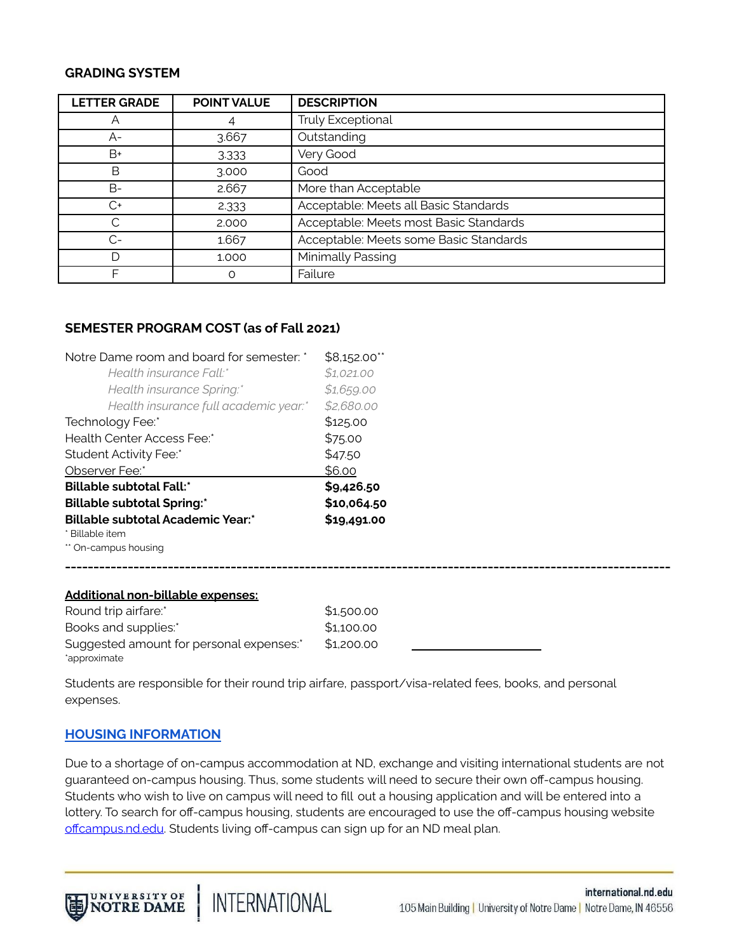#### **GRADING SYSTEM**

| <b>LETTER GRADE</b> | <b>POINT VALUE</b> | <b>DESCRIPTION</b>                     |
|---------------------|--------------------|----------------------------------------|
|                     |                    | Truly Exceptional                      |
| $A-$                | 3.667              | Outstanding                            |
| $B+$                | 3.333              | Very Good                              |
| В                   | 3.000              | Good                                   |
| B-                  | 2.667              | More than Acceptable                   |
| $C+$                | 2.333              | Acceptable: Meets all Basic Standards  |
|                     | 2,000              | Acceptable: Meets most Basic Standards |
| $C-$                | 1.667              | Acceptable: Meets some Basic Standards |
|                     | 1.000              | Minimally Passing                      |
| F                   | $\Omega$           | Failure                                |

#### **SEMESTER PROGRAM COST (as of Fall 2021)**

| Notre Dame room and board for semester: *                              | \$8,152.00**<br>\$1,021.00                      |  |                  |
|------------------------------------------------------------------------|-------------------------------------------------|--|------------------|
| Health insurance Fall:*                                                |                                                 |  |                  |
| Health insurance Spring:*<br>Health insurance full academic year.*     | \$1,659.00<br>\$2,680.00<br>\$125.00<br>\$75.00 |  |                  |
|                                                                        |                                                 |  | Technology Fee:* |
| Health Center Access Fee:*<br>Student Activity Fee:*<br>Observer Fee:* |                                                 |  |                  |
|                                                                        |                                                 |  | \$47.50          |
|                                                                        | \$6.00                                          |  |                  |
| <b>Billable subtotal Fall:*</b>                                        | \$9,426.50<br>\$10,064.50<br>\$19,491.00        |  |                  |
| <b>Billable subtotal Spring:*</b>                                      |                                                 |  |                  |
| <b>Billable subtotal Academic Year:*</b>                               |                                                 |  |                  |
| * Billable item                                                        |                                                 |  |                  |
| ** On-campus housing                                                   |                                                 |  |                  |
| <u> Additional non-billable expenses:</u>                              |                                                 |  |                  |
| Round trip airfare:*                                                   | \$1,500.00                                      |  |                  |
| Books and supplies:*                                                   | \$1,100.00                                      |  |                  |
| Suggested amount for personal expenses:*                               | \$1,200.00                                      |  |                  |

Students are responsible for their round trip airfare, passport/visa-related fees, books, and personal expenses.

#### **HOUSING [INFORMATION](https://international.nd.edu/students-scholars/global-engagement-programs/semester-academic-year-programs/living-at-nd/housing-meals/)**

\*approximate

Due to a shortage of on-campus accommodation at ND, exchange and visiting international students are not guaranteed on-campus housing. Thus, some students will need to secure their own off-campus housing. Students who wish to live on campus will need to fill out a housing application and will be entered into a lottery. To search for off-campus housing, students are encouraged to use the off-campus housing website offcampus.nd.edu. Students living off-campus can sign up for an ND meal plan.